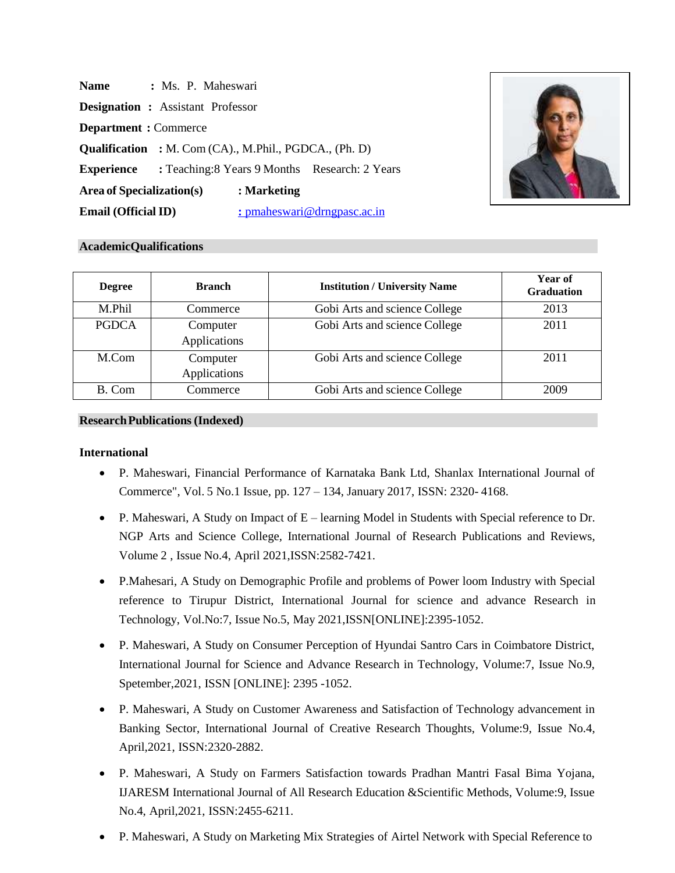| <b>Name</b>                                                   | : Ms. P. Maheswari                       |             |                                                                 |  |
|---------------------------------------------------------------|------------------------------------------|-------------|-----------------------------------------------------------------|--|
|                                                               | <b>Designation :</b> Assistant Professor |             |                                                                 |  |
| <b>Department</b> : Commerce                                  |                                          |             |                                                                 |  |
| <b>Qualification</b> : M. Com (CA)., M.Phil., PGDCA., (Ph. D) |                                          |             |                                                                 |  |
|                                                               |                                          |             | <b>Experience</b> : Teaching:8 Years 9 Months Research: 2 Years |  |
| Area of Specialization(s)                                     |                                          | : Marketing |                                                                 |  |
| <b>Email (Official ID)</b>                                    |                                          |             | : pmaheswari@drngpasc.ac.in                                     |  |



### **AcademicQualifications**

| <b>Degree</b> | <b>Branch</b>            | <b>Institution / University Name</b> | Year of<br><b>Graduation</b> |
|---------------|--------------------------|--------------------------------------|------------------------------|
| M.Phil        | Commerce                 | Gobi Arts and science College        | 2013                         |
| <b>PGDCA</b>  | Computer<br>Applications | Gobi Arts and science College        | 2011                         |
| M.Com         | Computer<br>Applications | Gobi Arts and science College        | 2011                         |
| B. Com        | Commerce                 | Gobi Arts and science College        | 2009                         |

# **ResearchPublications (Indexed)**

#### **International**

- P. Maheswari, Financial Performance of Karnataka Bank Ltd, Shanlax International Journal of Commerce", Vol. 5 No.1 Issue, pp. 127 – 134, January 2017, ISSN: 2320- 4168.
- P. Maheswari, A Study on Impact of  $E$  learning Model in Students with Special reference to Dr. NGP Arts and Science College, International Journal of Research Publications and Reviews, Volume 2 , Issue No.4, April 2021,ISSN:2582-7421.
- P.Mahesari, A Study on Demographic Profile and problems of Power loom Industry with Special reference to Tirupur District, International Journal for science and advance Research in Technology, Vol.No:7, Issue No.5, May 2021,ISSN[ONLINE]:2395-1052.
- P. Maheswari, A Study on Consumer Perception of Hyundai Santro Cars in Coimbatore District, International Journal for Science and Advance Research in Technology, Volume:7, Issue No.9, Spetember,2021, ISSN [ONLINE]: 2395 -1052.
- P. Maheswari, A Study on Customer Awareness and Satisfaction of Technology advancement in Banking Sector, International Journal of Creative Research Thoughts, Volume:9, Issue No.4, April,2021, ISSN:2320-2882.
- P. Maheswari, A Study on Farmers Satisfaction towards Pradhan Mantri Fasal Bima Yojana, IJARESM International Journal of All Research Education &Scientific Methods, Volume:9, Issue No.4, April,2021, ISSN:2455-6211.
- P. Maheswari, A Study on Marketing Mix Strategies of Airtel Network with Special Reference to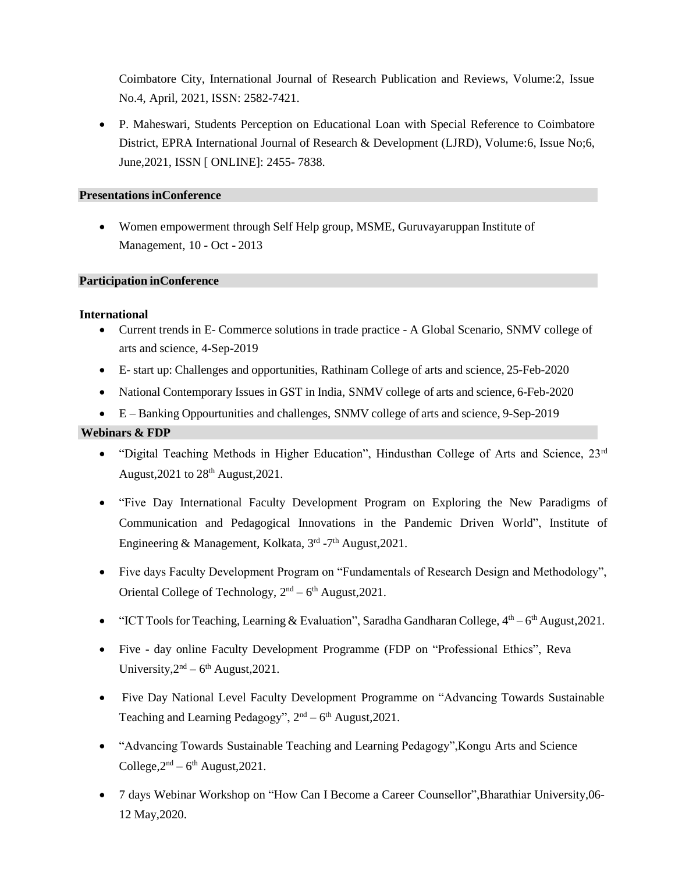Coimbatore City, International Journal of Research Publication and Reviews, Volume:2, Issue No.4, April, 2021, ISSN: 2582-7421.

• P. Maheswari, Students Perception on Educational Loan with Special Reference to Coimbatore District, EPRA International Journal of Research & Development (LJRD), Volume:6, Issue No;6, June,2021, ISSN [ ONLINE]: 2455- 7838.

# **Presentations inConference**

• Women empowerment through Self Help group, MSME, Guruvayaruppan Institute of Management, 10 - Oct - 2013

### **Participation inConference**

### **International**

- Current trends in E- Commerce solutions in trade practice A Global Scenario, SNMV college of arts and science, 4-Sep-2019
- E- start up: Challenges and opportunities, Rathinam College of arts and science, 25-Feb-2020
- National Contemporary Issues in GST in India, SNMV college of arts and science, 6-Feb-2020
- E Banking Oppourtunities and challenges, SNMV college of arts and science, 9-Sep-2019

# **Webinars & FDP**

- "Digital Teaching Methods in Higher Education", Hindusthan College of Arts and Science, 23<sup>rd</sup> August,  $2021$  to  $28<sup>th</sup>$  August,  $2021$ .
- "Five Day International Faculty Development Program on Exploring the New Paradigms of Communication and Pedagogical Innovations in the Pandemic Driven World", Institute of Engineering & Management, Kolkata, 3<sup>rd</sup> -7<sup>th</sup> August, 2021.
- Five days Faculty Development Program on "Fundamentals of Research Design and Methodology", Oriental College of Technology,  $2<sup>nd</sup> - 6<sup>th</sup>$  August, 2021.
- "ICT Tools for Teaching, Learning & Evaluation", Saradha Gandharan College,  $4<sup>th</sup> 6<sup>th</sup>$  August, 2021.
- Five day online Faculty Development Programme (FDP on "Professional Ethics", Reva University,  $2<sup>nd</sup> - 6<sup>th</sup>$  August, 2021.
- Five Day National Level Faculty Development Programme on "Advancing Towards Sustainable Teaching and Learning Pedagogy",  $2<sup>nd</sup> - 6<sup>th</sup>$  August, 2021.
- "Advancing Towards Sustainable Teaching and Learning Pedagogy",Kongu Arts and Science College, $2<sup>nd</sup> - 6<sup>th</sup>$  August, 2021.
- 7 days Webinar Workshop on "How Can I Become a Career Counsellor",Bharathiar University,06- 12 May,2020.